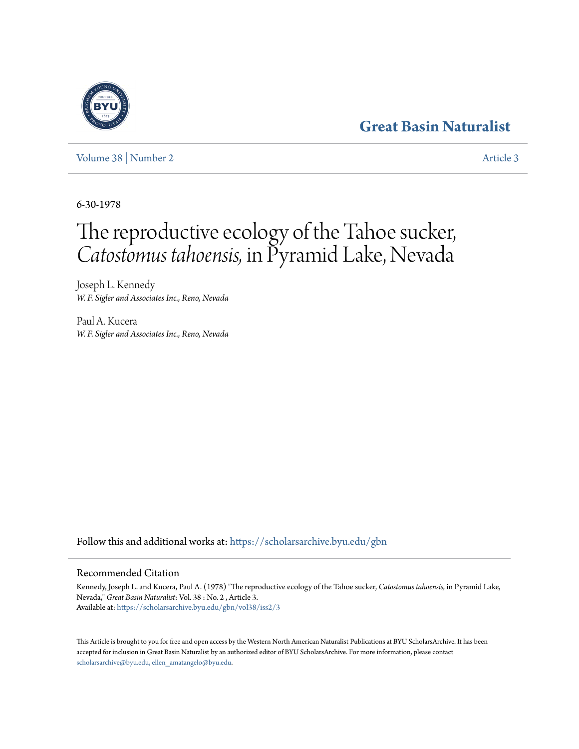## **[Great Basin Naturalist](https://scholarsarchive.byu.edu/gbn?utm_source=scholarsarchive.byu.edu%2Fgbn%2Fvol38%2Fiss2%2F3&utm_medium=PDF&utm_campaign=PDFCoverPages)**

[Volume 38](https://scholarsarchive.byu.edu/gbn/vol38?utm_source=scholarsarchive.byu.edu%2Fgbn%2Fvol38%2Fiss2%2F3&utm_medium=PDF&utm_campaign=PDFCoverPages) | [Number 2](https://scholarsarchive.byu.edu/gbn/vol38/iss2?utm_source=scholarsarchive.byu.edu%2Fgbn%2Fvol38%2Fiss2%2F3&utm_medium=PDF&utm_campaign=PDFCoverPages) [Article 3](https://scholarsarchive.byu.edu/gbn/vol38/iss2/3?utm_source=scholarsarchive.byu.edu%2Fgbn%2Fvol38%2Fiss2%2F3&utm_medium=PDF&utm_campaign=PDFCoverPages)

6-30-1978

# The reproductive ecology of the Tahoe sucker, *Catostomus tahoensis,* in Pyramid Lake, Nevada

Joseph L. Kennedy *W. F. Sigler and Associates Inc., Reno, Nevada*

Paul A. Kucera *W. F. Sigler and Associates Inc., Reno, Nevada*

Follow this and additional works at: [https://scholarsarchive.byu.edu/gbn](https://scholarsarchive.byu.edu/gbn?utm_source=scholarsarchive.byu.edu%2Fgbn%2Fvol38%2Fiss2%2F3&utm_medium=PDF&utm_campaign=PDFCoverPages)

### Recommended Citation

Kennedy, Joseph L. and Kucera, Paul A. (1978) "The reproductive ecology of the Tahoe sucker, *Catostomus tahoensis,* in Pyramid Lake, Nevada," *Great Basin Naturalist*: Vol. 38 : No. 2 , Article 3. Available at: [https://scholarsarchive.byu.edu/gbn/vol38/iss2/3](https://scholarsarchive.byu.edu/gbn/vol38/iss2/3?utm_source=scholarsarchive.byu.edu%2Fgbn%2Fvol38%2Fiss2%2F3&utm_medium=PDF&utm_campaign=PDFCoverPages)

This Article is brought to you for free and open access by the Western North American Naturalist Publications at BYU ScholarsArchive. It has been accepted for inclusion in Great Basin Naturalist by an authorized editor of BYU ScholarsArchive. For more information, please contact [scholarsarchive@byu.edu, ellen\\_amatangelo@byu.edu.](mailto:scholarsarchive@byu.edu,%20ellen_amatangelo@byu.edu)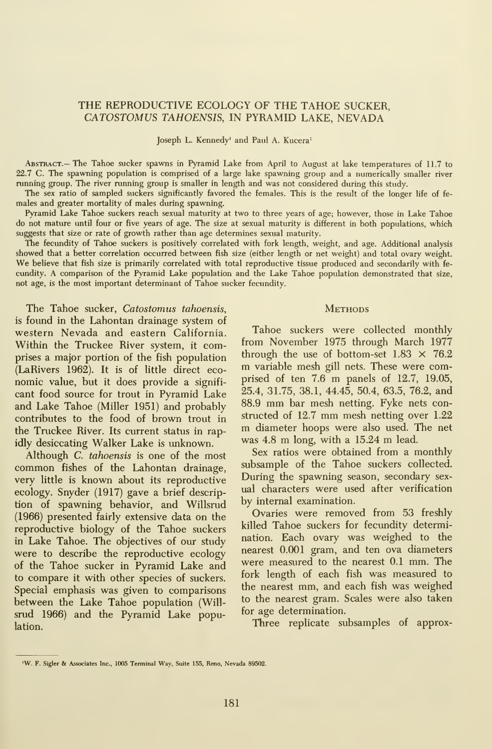#### THE REPRODUCTIVE ECOLOGY OF THE TAHOE SUCKER, CATOSTOMUS TAHOENSIS, IN PYRAMID LAKE, NEVADA

Joseph L. Kennedy' and Paul A. Kucera'

Abstract.— The Tahoe sucker spawns in Pyramid Lake from April to August at lake temperatures of 11.7 to 22.7 C. The spawning population is comprised of a large lake spawning group and a numerically smaller river running group. The river running group is smaller in length and was not considered during this study.

The sex ratio of sampled suckers significantly favored the females. This is the result of the longer life of fe males and greater mortality of males during spawning.

Pyramid Lake Tahoe suckers reach sexual maturity at two to three years of age; however, those in Lake Tahoe do not mature until four or five years of age. The size at sexual maturity is different in both populations, which suggests that size or rate of growth rather than age determines sexual maturity.

The fecundity of Tahoe suckers is positively correlated with fork length, weight, and age. Additional analysis showed that a better correlation occurred between fish size (either length or net weight) and total ovary weight. We believe that fish size is primarily correlated with total reproductive tissue produced and secondarily with fe cundity. A comparison of the Pyramid Lake population and the Lake Tahoe population demonstrated that size, not age, is the most important determinant of Tahoe sucker fecundity.

The Tahoe sucker, Catostomus tahoensis, is found in the Lahontan drainage system of western Nevada and eastern California. Within the Truckee River system, it comprises a major portion of the fish population through the use of bottom-set  $1.83 \times 76.2$ (LaRivers 1962). It is of little direct eco nomic value, but it does provide a signifi cant food source for trout in Pyramid Lake and Lake Tahoe (Miller 1951) and probably contributes to the food of brown trout in structed of 12.7 mm mesh netting over 1.22<br>the Truckee Biver. Its current status in ran. In diameter hoops were also used. The net the Truckee River. Its current status in rapidly desiccating Walker Lake is unknown.

Although C. tahoensis is one of the most common fishes of the Lahontan drainage, very little is known about its reproductive ecology. Snyder (1917) gave a brief description of spawning behavior, and Willsrud (1966) presented fairly extensive data on the reproductive biology of the Tahoe suckers in Lake Tahoe. The objectives of our study were to describe the reproductive ecology of the Tahoe sucker in Pyramid Lake and to compare it with other species of suckers. Special emphasis was given to comparisons between the Lake Tahoe population (Willsrud 1966) and the Pyramid Lake population.

#### **METHODS**

Tahoe suckers were collected monthly from November 1975 through March 1977 m variable mesh gill nets. These were comprised of ten 7.6 m panels of 12.7, 19.05, 25.4, 31.75, 38.1, 44.45, 50.4, 63.5, 76.2, and 88.9 mm bar mesh netting. Fyke nets constructed of  $12.7$  mm mesh netting over  $1.22$ was 4.8 m long, with <sup>a</sup> 15.24 m lead.

Sex ratios were obtained from a monthly subsample of the Tahoe suckers collected. During the spawning season, secondary sex ual characters were used after verification by internal examination.

Ovaries were removed from 53 freshly killed Tahoe suckers for fecundity determination. Each ovary was weighed to the nearest 0.001 gram, and ten ova diameters were measured to the nearest 0.1 mm. The fork length of each fish was measured to the nearest mm, and each fish was weighed to the nearest gram. Scales were also taken for age determination.

Three replicate subsamples of approx-

<sup>&#</sup>x27;W. F. Sigler & Associates Inc., <sup>1005</sup> Terminal Way, Suite 155, Reno. Nevada 89502.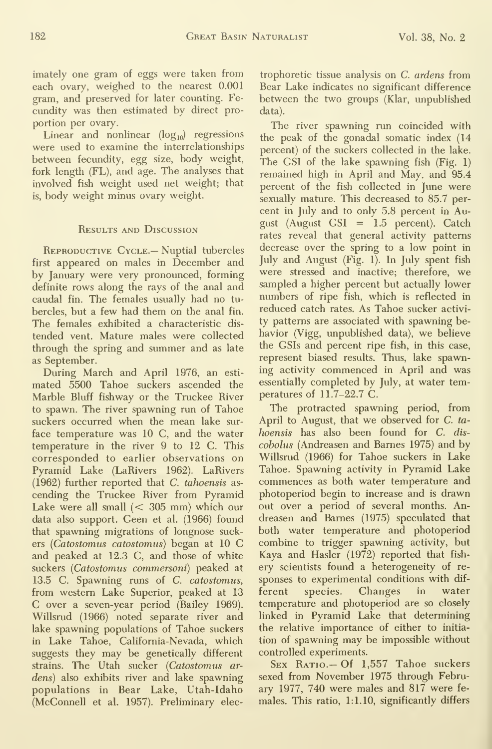imately one gram of eggs were taken from each ovary, weighed to the nearest 0.001 gram, and preserved for later counting. Fe cundity was then estimated by direct pro portion per ovary.

Linear and nonlinear  $(log_{10})$  regressions were used to examine the interrelationships between fecundity, egg size, body weight, fork length (FL), and age. The analyses that involved fish weight used net weight; that is, body weight minus ovary weight.

#### Results and Discussion

REPRODUCTIVE CYCLE. — Nuptial tubercles first appeared on males in December and by January were very pronounced, forming definite rows along the rays of the anal and caudal fin. The females usually had no tu bercles, but a few had them on the anal fin. The females exhibited a characteristic dis tended vent. Mature males were collected through the spring and summer and as late as September.

During March and April 1976, an esti mated 5500 Tahoe suckers ascended the Marble Bluff fishway or the Truckee River to spawn. The river spawning run of Tahoe suckers occurred when the mean lake sur face temperature was 10 C, and the water temperatiue in the river 9 to 12 C. This corresponded to earlier observations on Pyramid Lake (LaRivers 1962). LaRivers (1962) further reported that C. tahoensis as cending the Truckee River from Pyramid Lake were all small  $(< 305$  mm) which our data also support. Geen et al. (1966) found that spawning migrations of longnose suckers (Catostomus catostomus) began at <sup>10</sup> G and peaked at 12.3 G, and those of white suckers {Catostomus commersoni) peaked at 13,5 G. Spawning runs of C. catostomus, from western Lake Superior, peaked at 13 G over <sup>a</sup> seven-year period (Bailey 1969). Willsrud (1966) noted separate river and lake spawning populations of Tahoe suckers in Lake Tahoe, Galifomia-Nevada, which suggests they may be genetically different strains. The Utah sucker (Catostomus ar dens) also exhibits river and lake spawning populations in Bear Lake, Utah-Idaho (McGonnell et al. 1957). Preliminary elec-

trophoretic tissue analysis on C. ardens from Bear Lake indicates no significant difference between the two groups (Klar, unpublished data).

The river spawning run coincided with the peak of the gonadal somatic index (14 percent) of the suckers collected in the lake. The GSI of the lake spawning fish (Fig. 1) remained high in April and May, and 95.4 percent of the fish collected in June were sexually mature. This decreased to 85.7 per cent in July and to only 5.8 percent in August (August GSI = 1.5 percent). Gatch rates reveal that general activity patterns decrease over the spring to a low point in July and August (Fig. 1). In July spent fish were stressed and inactive; therefore, we sampled a higher percent but actually lower numbers of ripe fish, which is reflected in reduced catch rates. As Tahoe sucker activi ty patterns are associated with spawning behavior (Vigg, unpublished data), we believe the GSIs and percent ripe fish, in this case, represent biased results. Thus, lake spawning activity commenced in April and was essentially completed by July, at water temperatures of 11.7-22.7 G.

The protracted spawning period, from April to August, that we observed for C. tahoensis has also been found for C. dis cobolus (Andreasen and Barnes 1975) and by Willsrud (1966) for Tahoe suckers in Lake Tahoe. Spawning activity in Pyramid Lake commences as both water temperature and photoperiod begin to increase and is drawn out over a period of several months. Andreasen and Barnes (1975) speculated that both water temperature and photoperiod combine to trigger spawning activity, but Kaya and Hasler (1972) reported that fish ery scientists found a heterogeneity of re sponses to experimental conditions with dif species. Changes in water temperature and photoperiod are so closely linked in Pyramid Lake that determining the relative importance of either to initia tion of spawning may be impossible without controlled experiments.

SEX RATIO. - Of 1,557 Tahoe suckers sexed from November 1975 through February 1977, 740 were males and 817 were fe males. This ratio, 1:1.10, significantly differs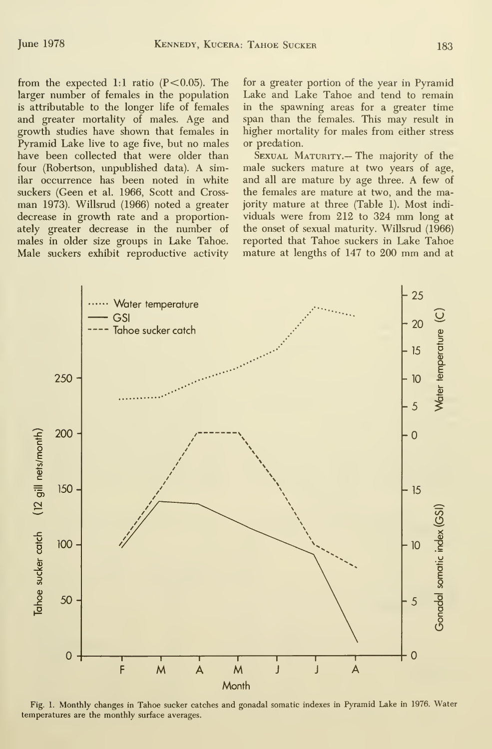from the expected 1:1 ratio  $(P<0.05)$ . The larger number of females in the population is attributable to the longer life of females and greater mortality of males. Age and growth studies have shown that females in Pyramid Lake live to age five, but no males have been collected that were older than four (Robertson, impublished data). A similar occurrence has been noted in white suckers (Geen et al. 1966, Scott and Cross man 1973). Willsrud (1966) noted a greater decrease in growth rate and a proportionately greater decrease in the number of males in older size groups in Lake Tahoe. Male suckers exhibit reproductive activity for a greater portion of the year in Pyramid Lake and Lake Tahoe and tend to remain in the spawning areas for a greater time span than the females. This may result in higher mortality for males from either stress or predation.

SEXUAL MATURITY.- The majority of the male suckers mature at two years of age, and all are mature by age three. A few of the females are mature at two, and the majority mature at three (Table 1). Most indi viduals were from <sup>212</sup> to <sup>324</sup> mm long at the onset of sexual maturity. Willsrud (1966) reported that Tahoe suckers in Lake Tahoe mature at lengths of <sup>147</sup> to <sup>200</sup> mm and at



Fig. 1. Monthly changes in Tahoe sucker catches and gonadal somatic indexes in Pyramid Lake in 1976. Water temperatures are the monthly surface averages.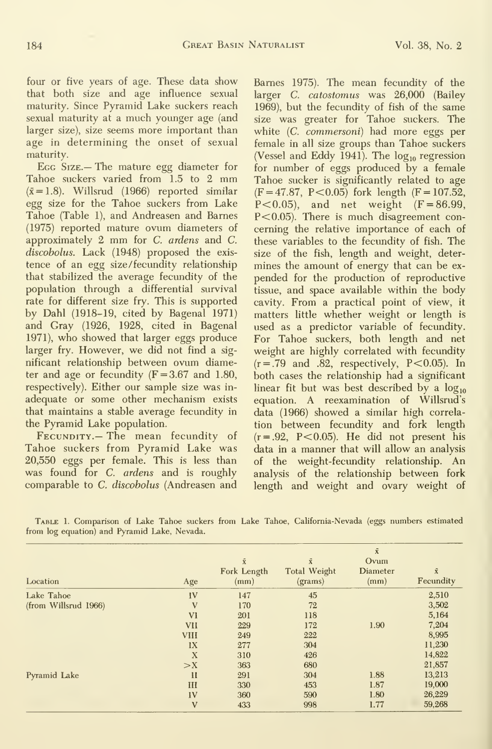four or five years of age. These data show that both size and age influence sexual maturity. Since Pyramid Lake suckers reach sexual maturity at a much younger age (and larger size), size seems more important than age in determining the onset of sexual maturity.

Egg Size.— The mature egg diameter for Tahoe suckers varied from 1.5 to <sup>2</sup> mm  $(\bar{x} = 1.8)$ . Willsrud (1966) reported similar egg size for the Tahoe suckers from Lake Tahoe (Table 1), and Andreasen and Barnes (1975) reported mature ovum diameters of approximately 2 mm for C. ardens and C. discobolus. Lack (1948) proposed the exis tence of an egg size /fecundity relationship that stabilized the average fecundity of the population through a differential survival rate for different size fry. This is supported by Dahl (1918-19, cited by Bagenal 1971) and Gray (1926, 1928, cited in Bagenal 1971), who showed that larger eggs produce larger fry. However, we did not find a sig nificant relationship between ovum diameter and age or fecundity  $(F = 3.67$  and 1.80, respectively). Either our sample size was in adequate or some other mechanism exists that maintains a stable average fecundity in the Pyramid Lake population.

Fecundity.— The mean fecundity of Tahoe suckers from Pyramid Lake was 20,550 eggs per female. This is less than was found for C. ardens and is roughly comparable to C. discobolus (Andreasen and

Barnes 1975). The mean fecundity of the larger C. catostomus was 26,000 (Bailey 1969), but the fecimdity of fish of the same size was greater for Tahoe suckers. The white (C. commersoni) had more eggs per female in all size groups than Tahoe suckers (Vessel and Eddy 1941). The  $log_{10}$  regression for number of eggs produced by a female Tahoe sucker is significantly related to age  $(F = 47.87, P < 0.05)$  fork length  $(F = 107.52,$ P<0.05), and net weight  $(F = 86.99,$ P<0.05). There is much disagreement concerning the relative importance of each of these variables to the fecundity of fish. The size of the fish, length and weight, deter mines the amount of energy that can be ex pended for the production of reproductive tissue, and space available within the body cavity. From a practical point of view, it matters little whether weight or length is used as a predictor variable of fecundity. For Tahoe suckers, both length and net weight are highly correlated with fecundity  $(r=.79$  and .82, respectively,  $P < 0.05$ ). In both cases the relationship had a significant linear fit but was best described by a  $log_{10}$ equation. A reexamination of Willsrud's data (1966) showed a similar high correlation between fecundity and fork length  $(r=.92, P<0.05)$ . He did not present his data in a manner that will allow an analysis of the weight-fecundity relationship. An analysis of the relationship between fork length and weight and ovary weight of

Table 1. Comparison of Lake Tahoe suckers from Lake Tahoe, Cahfomia-Nevada (eggs numbers estimated from log equation) and Pyramid Lake, Nevada.

| Location             | Age          | $\bar{x}$<br>Fork Length<br>(mm) | $\vec{\textbf{x}}$<br><b>Total Weight</b><br>$2$ | $\bar{x}$<br>Ovum<br><b>Diameter</b><br>(mm) | $\bar{\mathbf{x}}$<br>Fecundity |
|----------------------|--------------|----------------------------------|--------------------------------------------------|----------------------------------------------|---------------------------------|
| Lake Tahoe           | IV           | 147                              | 45                                               |                                              | 2,510                           |
| (from Willsrud 1966) | V            | 170                              | 72                                               |                                              | 3,502                           |
|                      | <b>V1</b>    | 201                              | 118                                              |                                              | 5,164                           |
|                      | <b>VII</b>   | 229                              | 172                                              | 1.90                                         | 7,204                           |
|                      | <b>VIII</b>  | 249                              | 222                                              |                                              | 8,995                           |
|                      | 1X           | 277                              | 304                                              |                                              | 11,230                          |
|                      | X            | 310                              | 426                                              |                                              | 14,822                          |
|                      | $>$ X        | 363                              | 680                                              |                                              | 21,857                          |
| Pyramid Lake         | $\mathbf{H}$ | 291                              | 304                                              | 1.88                                         | 13,213                          |
|                      | Ш            | 330                              | 453                                              | 1.87                                         | 19,000                          |
|                      | 1V           | 360                              | 590                                              | 1.80                                         | 26,229                          |
|                      | V            | 433                              | 998                                              | 1.77                                         | 59,268                          |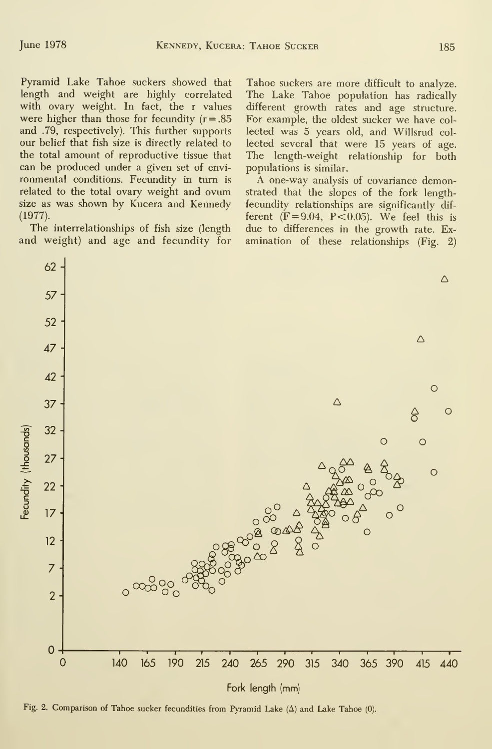Pyramid Lake Tahoe suckers showed that length and weight are highly correlated with ovary weight. In fact, the <sup>r</sup> values were higher than those for fecundity  $(r=.85)$ and .79, respectively). This further supports our belief that fish size is directly related to the total amount of reproductive tissue that can be produced under a given set of envi ronmental conditions. Fecundity in turn is related to the total ovary weight and ovum size as was shown by Kucera and Kennedy (1977).

The interrelationships of fish size (length and weight) and age and fecundity for Tahoe suckers are more difficult to analyze. The Lake Tahoe population has radically different growth rates and age structure. For example, the oldest sucker we have col lected was 5 years old, and Willsrud col lected several that were 15 years of age. The length-weight relationship for both populations is similar.

A one-way analysis of covariance demonstrated that the slopes of the fork lengthfecundity relationships are significantly dif ferent  $(F=9.04, P<0.05)$ . We feel this is due to differences in the growth rate. Ex amination of these relationships (Fig. 2)



Fig. 2. Comparison of Tahoe sucker fecundities from Pyramid Lake  $(\Delta)$  and Lake Tahoe (0).